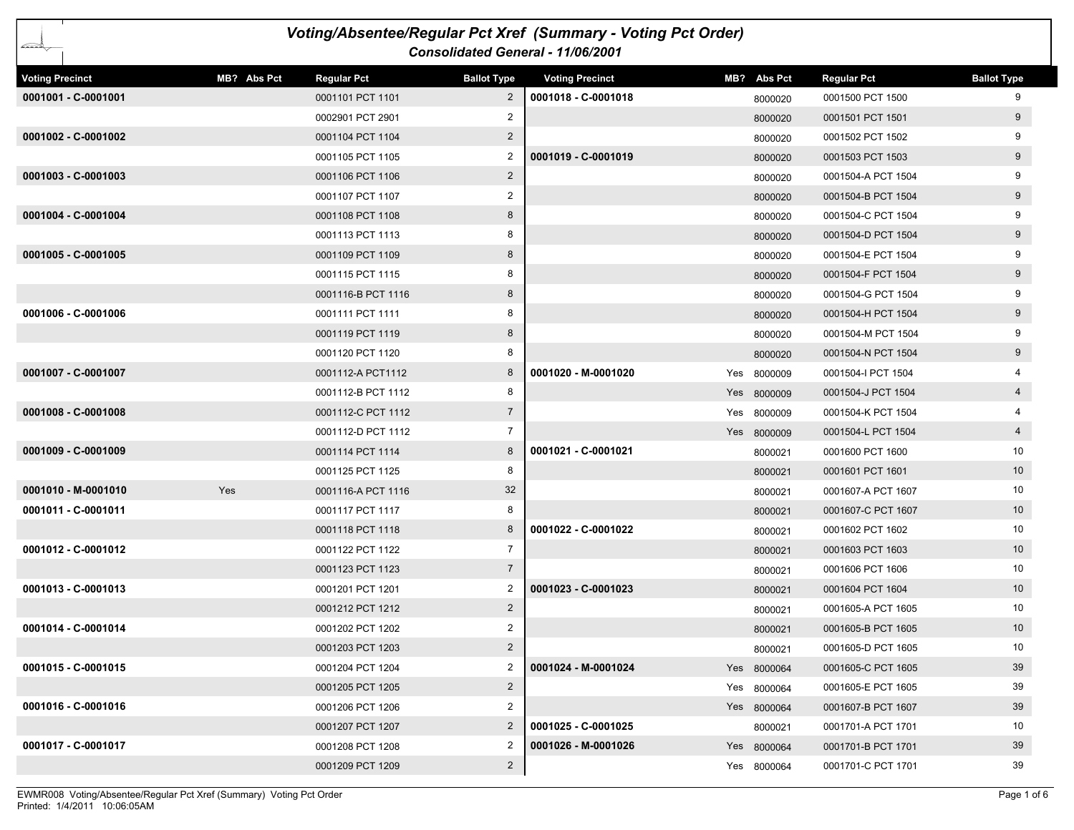| Voting/Absentee/Regular Pct Xref (Summary - Voting Pct Order)<br>Consolidated General - 11/06/2001 |             |                    |                    |                        |  |             |                    |                    |  |  |
|----------------------------------------------------------------------------------------------------|-------------|--------------------|--------------------|------------------------|--|-------------|--------------------|--------------------|--|--|
| <b>Voting Precinct</b>                                                                             | MB? Abs Pct | <b>Regular Pct</b> | <b>Ballot Type</b> | <b>Voting Precinct</b> |  | MB? Abs Pct | <b>Regular Pct</b> | <b>Ballot Type</b> |  |  |
| 0001001 - C-0001001                                                                                |             | 0001101 PCT 1101   | $\overline{2}$     | 0001018 - C-0001018    |  | 8000020     | 0001500 PCT 1500   | 9                  |  |  |
|                                                                                                    |             | 0002901 PCT 2901   | 2                  |                        |  | 8000020     | 0001501 PCT 1501   | 9                  |  |  |
| 0001002 - C-0001002                                                                                |             | 0001104 PCT 1104   | $\overline{2}$     |                        |  | 8000020     | 0001502 PCT 1502   | 9                  |  |  |
|                                                                                                    |             | 0001105 PCT 1105   | 2                  | 0001019 - C-0001019    |  | 8000020     | 0001503 PCT 1503   | 9                  |  |  |
| 0001003 - C-0001003                                                                                |             | 0001106 PCT 1106   | $\overline{2}$     |                        |  | 8000020     | 0001504-A PCT 1504 |                    |  |  |
|                                                                                                    |             | 0001107 PCT 1107   | 2                  |                        |  | 8000020     | 0001504-B PCT 1504 | 9                  |  |  |
| 0001004 - C-0001004                                                                                |             | 0001108 PCT 1108   | 8                  |                        |  | 8000020     | 0001504-C PCT 1504 | 9                  |  |  |
|                                                                                                    |             | 0001113 PCT 1113   | 8                  |                        |  | 8000020     | 0001504-D PCT 1504 | 9                  |  |  |
| 0001005 - C-0001005                                                                                |             | 0001109 PCT 1109   | 8                  |                        |  | 8000020     | 0001504-E PCT 1504 | 9                  |  |  |
|                                                                                                    |             | 0001115 PCT 1115   | 8                  |                        |  | 8000020     | 0001504-F PCT 1504 | 9                  |  |  |
|                                                                                                    |             | 0001116-B PCT 1116 | 8                  |                        |  | 8000020     | 0001504-G PCT 1504 | 9                  |  |  |
| 0001006 - C-0001006                                                                                |             | 0001111 PCT 1111   | 8                  |                        |  | 8000020     | 0001504-H PCT 1504 | 9                  |  |  |
|                                                                                                    |             | 0001119 PCT 1119   | 8                  |                        |  | 8000020     | 0001504-M PCT 1504 | 9                  |  |  |
|                                                                                                    |             | 0001120 PCT 1120   | 8                  |                        |  | 8000020     | 0001504-N PCT 1504 | 9                  |  |  |
| 0001007 - C-0001007                                                                                |             | 0001112-A PCT1112  | 8                  | 0001020 - M-0001020    |  | Yes 8000009 | 0001504-I PCT 1504 |                    |  |  |
|                                                                                                    |             | 0001112-B PCT 1112 | 8                  |                        |  | Yes 8000009 | 0001504-J PCT 1504 | $\overline{4}$     |  |  |
| 0001008 - C-0001008                                                                                |             | 0001112-C PCT 1112 | $\overline{7}$     |                        |  | Yes 8000009 | 0001504-K PCT 1504 |                    |  |  |
|                                                                                                    |             | 0001112-D PCT 1112 | $\overline{7}$     |                        |  | Yes 8000009 | 0001504-L PCT 1504 | $\overline{4}$     |  |  |
| 0001009 - C-0001009                                                                                |             | 0001114 PCT 1114   | 8                  | 0001021 - C-0001021    |  | 8000021     | 0001600 PCT 1600   | 10                 |  |  |
|                                                                                                    |             | 0001125 PCT 1125   | 8                  |                        |  | 8000021     | 0001601 PCT 1601   | 10 <sup>°</sup>    |  |  |
| 0001010 - M-0001010                                                                                | Yes         | 0001116-A PCT 1116 | 32                 |                        |  | 8000021     | 0001607-A PCT 1607 | 10                 |  |  |
| 0001011 - C-0001011                                                                                |             | 0001117 PCT 1117   | 8                  |                        |  | 8000021     | 0001607-C PCT 1607 | 10                 |  |  |
|                                                                                                    |             | 0001118 PCT 1118   | 8                  | 0001022 - C-0001022    |  | 8000021     | 0001602 PCT 1602   | 10                 |  |  |
| 0001012 - C-0001012                                                                                |             | 0001122 PCT 1122   | $\overline{7}$     |                        |  | 8000021     | 0001603 PCT 1603   | 10 <sup>°</sup>    |  |  |
|                                                                                                    |             | 0001123 PCT 1123   | $\overline{7}$     |                        |  | 8000021     | 0001606 PCT 1606   | 10                 |  |  |
| 0001013 - C-0001013                                                                                |             | 0001201 PCT 1201   | 2                  | 0001023 - C-0001023    |  | 8000021     | 0001604 PCT 1604   | 10 <sup>°</sup>    |  |  |
|                                                                                                    |             | 0001212 PCT 1212   | $\overline{2}$     |                        |  | 8000021     | 0001605-A PCT 1605 | 10                 |  |  |
| 0001014 - C-0001014                                                                                |             | 0001202 PCT 1202   | $\overline{2}$     |                        |  | 8000021     | 0001605-B PCT 1605 | 10                 |  |  |
|                                                                                                    |             | 0001203 PCT 1203   | $\overline{2}$     |                        |  | 8000021     | 0001605-D PCT 1605 | 10                 |  |  |
| 0001015 - C-0001015                                                                                |             | 0001204 PCT 1204   | 2                  | 0001024 - M-0001024    |  | Yes 8000064 | 0001605-C PCT 1605 | 39                 |  |  |
|                                                                                                    |             | 0001205 PCT 1205   | $\overline{2}$     |                        |  | Yes 8000064 | 0001605-E PCT 1605 | 39                 |  |  |
| 0001016 - C-0001016                                                                                |             | 0001206 PCT 1206   | 2                  |                        |  | Yes 8000064 | 0001607-B PCT 1607 | 39                 |  |  |
|                                                                                                    |             | 0001207 PCT 1207   | $\overline{2}$     | 0001025 - C-0001025    |  | 8000021     | 0001701-A PCT 1701 | 10                 |  |  |
| 0001017 - C-0001017                                                                                |             | 0001208 PCT 1208   | 2                  | 0001026 - M-0001026    |  | Yes 8000064 | 0001701-B PCT 1701 | 39                 |  |  |
|                                                                                                    |             | 0001209 PCT 1209   | $\overline{a}$     |                        |  | Yes 8000064 | 0001701-C PCT 1701 | 39                 |  |  |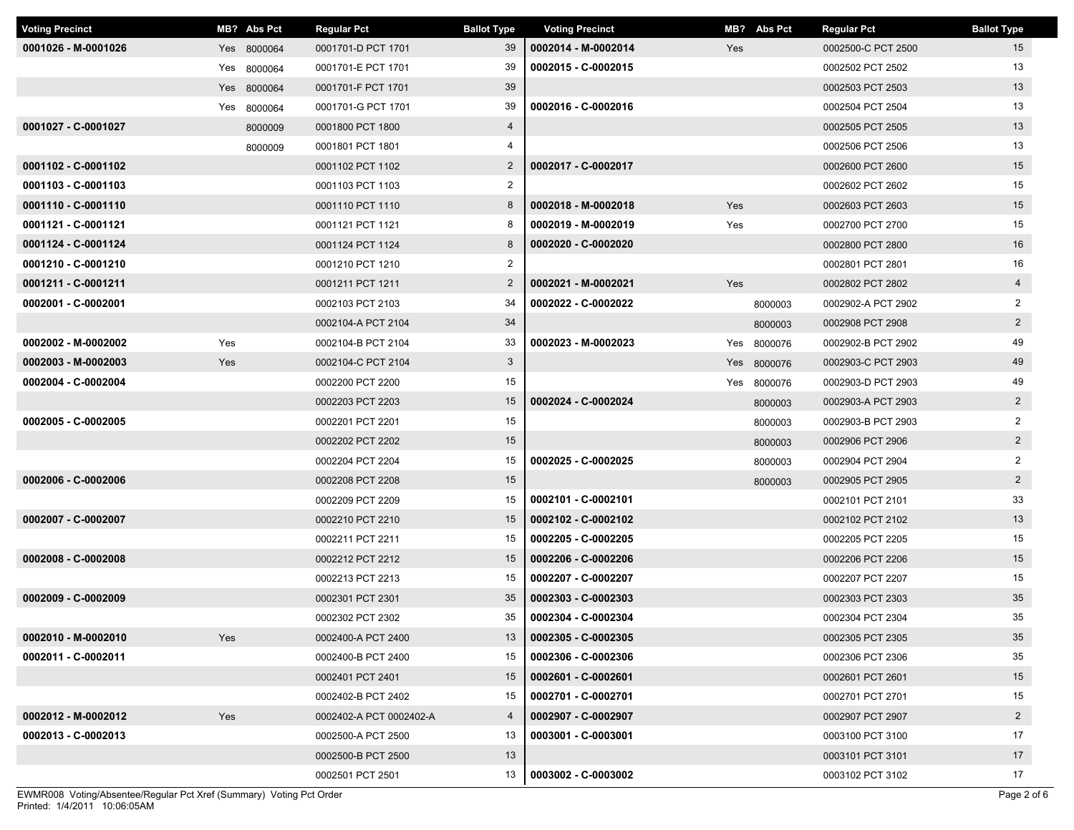| <b>Voting Precinct</b> |     | MB? Abs Pct | <b>Regular Pct</b>      | <b>Ballot Type</b> | <b>Voting Precinct</b> |     | MB? Abs Pct | <b>Regular Pct</b> | <b>Ballot Type</b> |  |
|------------------------|-----|-------------|-------------------------|--------------------|------------------------|-----|-------------|--------------------|--------------------|--|
| 0001026 - M-0001026    |     | Yes 8000064 | 0001701-D PCT 1701      | 39                 | 0002014 - M-0002014    | Yes |             | 0002500-C PCT 2500 | 15                 |  |
|                        |     | Yes 8000064 | 0001701-E PCT 1701      | 39                 | 0002015 - C-0002015    |     |             | 0002502 PCT 2502   | 13                 |  |
|                        |     | Yes 8000064 | 0001701-F PCT 1701      | 39                 |                        |     |             | 0002503 PCT 2503   | 13                 |  |
|                        |     | Yes 8000064 | 0001701-G PCT 1701      | 39                 | 0002016 - C-0002016    |     |             | 0002504 PCT 2504   | 13                 |  |
| 0001027 - C-0001027    |     | 8000009     | 0001800 PCT 1800        | $\overline{4}$     |                        |     |             | 0002505 PCT 2505   | 13                 |  |
|                        |     | 8000009     | 0001801 PCT 1801        | 4                  |                        |     |             | 0002506 PCT 2506   | 13                 |  |
| 0001102 - C-0001102    |     |             | 0001102 PCT 1102        | $\overline{2}$     | 0002017 - C-0002017    |     |             | 0002600 PCT 2600   | 15                 |  |
| 0001103 - C-0001103    |     |             | 0001103 PCT 1103        | $\overline{2}$     |                        |     |             | 0002602 PCT 2602   | 15                 |  |
| 0001110 - C-0001110    |     |             | 0001110 PCT 1110        | 8                  | 0002018 - M-0002018    | Yes |             | 0002603 PCT 2603   | 15                 |  |
| 0001121 - C-0001121    |     |             | 0001121 PCT 1121        | 8                  | 0002019 - M-0002019    | Yes |             | 0002700 PCT 2700   | 15                 |  |
| 0001124 - C-0001124    |     |             | 0001124 PCT 1124        | 8                  | 0002020 - C-0002020    |     |             | 0002800 PCT 2800   | 16                 |  |
| 0001210 - C-0001210    |     |             | 0001210 PCT 1210        | $\overline{2}$     |                        |     |             | 0002801 PCT 2801   | 16                 |  |
| 0001211 - C-0001211    |     |             | 0001211 PCT 1211        | $\overline{2}$     | 0002021 - M-0002021    | Yes |             | 0002802 PCT 2802   | $\overline{4}$     |  |
| 0002001 - C-0002001    |     |             | 0002103 PCT 2103        | 34                 | 0002022 - C-0002022    |     | 8000003     | 0002902-A PCT 2902 | $\overline{2}$     |  |
|                        |     |             | 0002104-A PCT 2104      | 34                 |                        |     | 8000003     | 0002908 PCT 2908   | $\overline{2}$     |  |
| 0002002 - M-0002002    | Yes |             | 0002104-B PCT 2104      | 33                 | 0002023 - M-0002023    |     | Yes 8000076 | 0002902-B PCT 2902 | 49                 |  |
| 0002003 - M-0002003    | Yes |             | 0002104-C PCT 2104      | $3\phantom{.0}$    |                        |     | Yes 8000076 | 0002903-C PCT 2903 | 49                 |  |
| 0002004 - C-0002004    |     |             | 0002200 PCT 2200        | 15                 |                        |     | Yes 8000076 | 0002903-D PCT 2903 | 49                 |  |
|                        |     |             | 0002203 PCT 2203        | 15                 | 0002024 - C-0002024    |     | 8000003     | 0002903-A PCT 2903 | $\overline{2}$     |  |
| 0002005 - C-0002005    |     |             | 0002201 PCT 2201        | 15                 |                        |     | 8000003     | 0002903-B PCT 2903 | $\overline{2}$     |  |
|                        |     |             | 0002202 PCT 2202        | 15                 |                        |     | 8000003     | 0002906 PCT 2906   | $\overline{a}$     |  |
|                        |     |             | 0002204 PCT 2204        | 15                 | 0002025 - C-0002025    |     | 8000003     | 0002904 PCT 2904   | $\overline{2}$     |  |
| 0002006 - C-0002006    |     |             | 0002208 PCT 2208        | 15                 |                        |     | 8000003     | 0002905 PCT 2905   | $\overline{a}$     |  |
|                        |     |             | 0002209 PCT 2209        | 15                 | 0002101 - C-0002101    |     |             | 0002101 PCT 2101   | 33                 |  |
| 0002007 - C-0002007    |     |             | 0002210 PCT 2210        | 15                 | 0002102 - C-0002102    |     |             | 0002102 PCT 2102   | 13                 |  |
|                        |     |             | 0002211 PCT 2211        | 15                 | 0002205 - C-0002205    |     |             | 0002205 PCT 2205   | 15                 |  |
| 0002008 - C-0002008    |     |             | 0002212 PCT 2212        | 15                 | 0002206 - C-0002206    |     |             | 0002206 PCT 2206   | 15                 |  |
|                        |     |             | 0002213 PCT 2213        | 15                 | 0002207 - C-0002207    |     |             | 0002207 PCT 2207   | 15                 |  |
| 0002009 - C-0002009    |     |             | 0002301 PCT 2301        | 35                 | 0002303 - C-0002303    |     |             | 0002303 PCT 2303   | 35                 |  |
|                        |     |             | 0002302 PCT 2302        | 35                 | 0002304 - C-0002304    |     |             | 0002304 PCT 2304   | 35                 |  |
| 0002010 - M-0002010    | Yes |             | 0002400-A PCT 2400      | 13                 | 0002305 - C-0002305    |     |             | 0002305 PCT 2305   | 35                 |  |
| 0002011 - C-0002011    |     |             | 0002400-B PCT 2400      | 15                 | 0002306 - C-0002306    |     |             | 0002306 PCT 2306   | 35                 |  |
|                        |     |             | 0002401 PCT 2401        | 15                 | 0002601 - C-0002601    |     |             | 0002601 PCT 2601   | 15                 |  |
|                        |     |             | 0002402-B PCT 2402      | 15                 | 0002701 - C-0002701    |     |             | 0002701 PCT 2701   | 15                 |  |
| 0002012 - M-0002012    | Yes |             | 0002402-A PCT 0002402-A | $\overline{4}$     | 0002907 - C-0002907    |     |             | 0002907 PCT 2907   | $2^{\circ}$        |  |
| 0002013 - C-0002013    |     |             | 0002500-A PCT 2500      | 13                 | 0003001 - C-0003001    |     |             | 0003100 PCT 3100   | 17                 |  |
|                        |     |             | 0002500-B PCT 2500      | 13                 |                        |     |             | 0003101 PCT 3101   | 17                 |  |
|                        |     |             | 0002501 PCT 2501        | 13                 | 0003002 - C-0003002    |     |             | 0003102 PCT 3102   | 17                 |  |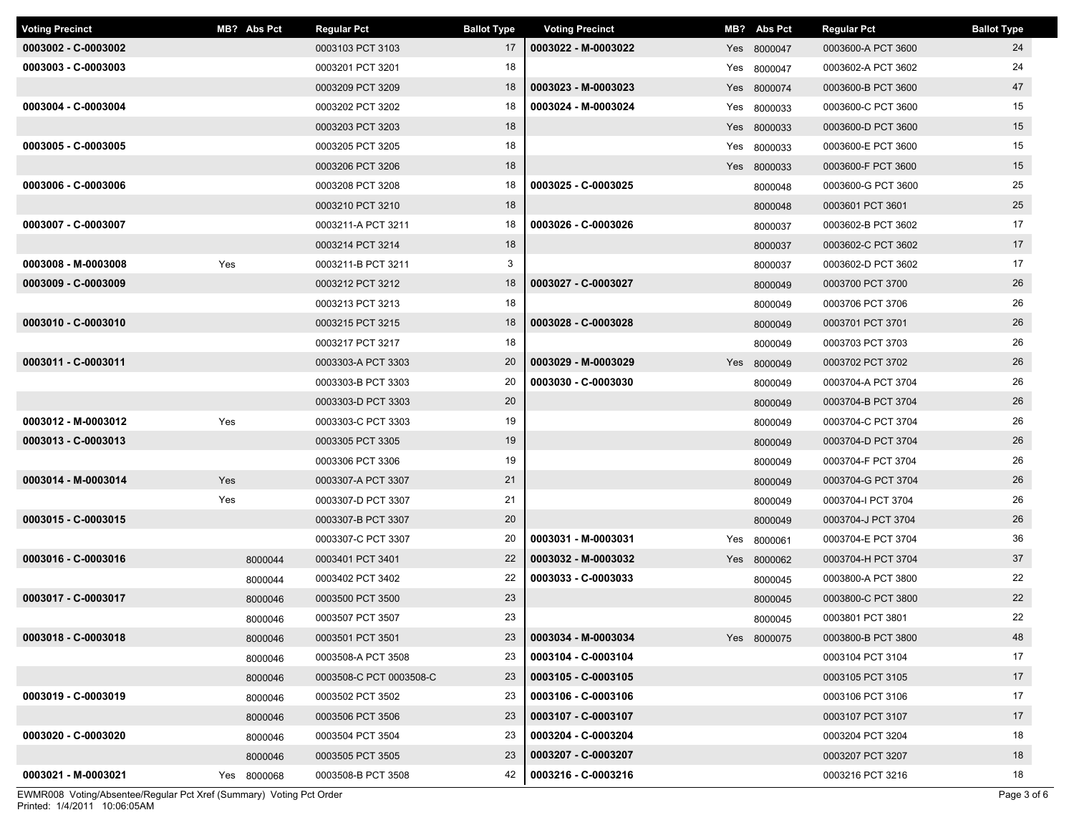| <b>Voting Precinct</b> |     | MB? Abs Pct | <b>Regular Pct</b>      | <b>Ballot Type</b> | <b>Voting Precinct</b> | MB? Abs Pct | <b>Regular Pct</b> | <b>Ballot Type</b> |
|------------------------|-----|-------------|-------------------------|--------------------|------------------------|-------------|--------------------|--------------------|
| 0003002 - C-0003002    |     |             | 0003103 PCT 3103        | 17                 | 0003022 - M-0003022    | Yes 8000047 | 0003600-A PCT 3600 | 24                 |
| 0003003 - C-0003003    |     |             | 0003201 PCT 3201        | 18                 |                        | Yes 8000047 | 0003602-A PCT 3602 | 24                 |
|                        |     |             | 0003209 PCT 3209        | 18                 | 0003023 - M-0003023    | Yes 8000074 | 0003600-B PCT 3600 | 47                 |
| 0003004 - C-0003004    |     |             | 0003202 PCT 3202        | 18                 | 0003024 - M-0003024    | Yes 8000033 | 0003600-C PCT 3600 | 15                 |
|                        |     |             | 0003203 PCT 3203        | 18                 |                        | Yes 8000033 | 0003600-D PCT 3600 | 15                 |
| 0003005 - C-0003005    |     |             | 0003205 PCT 3205        | 18                 |                        | Yes 8000033 | 0003600-E PCT 3600 | 15                 |
|                        |     |             | 0003206 PCT 3206        | 18                 |                        | Yes 8000033 | 0003600-F PCT 3600 | 15                 |
| 0003006 - C-0003006    |     |             | 0003208 PCT 3208        | 18                 | 0003025 - C-0003025    | 8000048     | 0003600-G PCT 3600 | 25                 |
|                        |     |             | 0003210 PCT 3210        | 18                 |                        | 8000048     | 0003601 PCT 3601   | 25                 |
| 0003007 - C-0003007    |     |             | 0003211-A PCT 3211      | 18                 | 0003026 - C-0003026    | 8000037     | 0003602-B PCT 3602 | 17                 |
|                        |     |             | 0003214 PCT 3214        | 18                 |                        | 8000037     | 0003602-C PCT 3602 | 17                 |
| 0003008 - M-0003008    | Yes |             | 0003211-B PCT 3211      | 3                  |                        | 8000037     | 0003602-D PCT 3602 | 17                 |
| 0003009 - C-0003009    |     |             | 0003212 PCT 3212        | 18                 | 0003027 - C-0003027    | 8000049     | 0003700 PCT 3700   | 26                 |
|                        |     |             | 0003213 PCT 3213        | 18                 |                        | 8000049     | 0003706 PCT 3706   | 26                 |
| 0003010 - C-0003010    |     |             | 0003215 PCT 3215        | 18                 | 0003028 - C-0003028    | 8000049     | 0003701 PCT 3701   | 26                 |
|                        |     |             | 0003217 PCT 3217        | 18                 |                        | 8000049     | 0003703 PCT 3703   | 26                 |
| 0003011 - C-0003011    |     |             | 0003303-A PCT 3303      | 20                 | 0003029 - M-0003029    | Yes 8000049 | 0003702 PCT 3702   | 26                 |
|                        |     |             | 0003303-B PCT 3303      | 20                 | 0003030 - C-0003030    | 8000049     | 0003704-A PCT 3704 | 26                 |
|                        |     |             | 0003303-D PCT 3303      | 20                 |                        | 8000049     | 0003704-B PCT 3704 | 26                 |
| 0003012 - M-0003012    | Yes |             | 0003303-C PCT 3303      | 19                 |                        | 8000049     | 0003704-C PCT 3704 | 26                 |
| 0003013 - C-0003013    |     |             | 0003305 PCT 3305        | 19                 |                        | 8000049     | 0003704-D PCT 3704 | 26                 |
|                        |     |             | 0003306 PCT 3306        | 19                 |                        | 8000049     | 0003704-F PCT 3704 | 26                 |
| 0003014 - M-0003014    | Yes |             | 0003307-A PCT 3307      | 21                 |                        | 8000049     | 0003704-G PCT 3704 | 26                 |
|                        | Yes |             | 0003307-D PCT 3307      | 21                 |                        | 8000049     | 0003704-I PCT 3704 | 26                 |
| 0003015 - C-0003015    |     |             | 0003307-B PCT 3307      | 20                 |                        | 8000049     | 0003704-J PCT 3704 | 26                 |
|                        |     |             | 0003307-C PCT 3307      | 20                 | 0003031 - M-0003031    | Yes 8000061 | 0003704-E PCT 3704 | 36                 |
| 0003016 - C-0003016    |     | 8000044     | 0003401 PCT 3401        | 22                 | 0003032 - M-0003032    | Yes 8000062 | 0003704-H PCT 3704 | 37                 |
|                        |     | 8000044     | 0003402 PCT 3402        | 22                 | 0003033 - C-0003033    | 8000045     | 0003800-A PCT 3800 | 22                 |
| 0003017 - C-0003017    |     | 8000046     | 0003500 PCT 3500        | 23                 |                        | 8000045     | 0003800-C PCT 3800 | 22                 |
|                        |     | 8000046     | 0003507 PCT 3507        | 23                 |                        | 8000045     | 0003801 PCT 3801   | 22                 |
| 0003018 - C-0003018    |     | 8000046     | 0003501 PCT 3501        | 23                 | 0003034 - M-0003034    | Yes 8000075 | 0003800-B PCT 3800 | 48                 |
|                        |     | 8000046     | 0003508-A PCT 3508      | 23                 | 0003104 - C-0003104    |             | 0003104 PCT 3104   | 17                 |
|                        |     | 8000046     | 0003508-C PCT 0003508-C | 23                 | 0003105 - C-0003105    |             | 0003105 PCT 3105   | 17                 |
| 0003019 - C-0003019    |     | 8000046     | 0003502 PCT 3502        | 23                 | 0003106 - C-0003106    |             | 0003106 PCT 3106   | 17                 |
|                        |     | 8000046     | 0003506 PCT 3506        | 23                 | 0003107 - C-0003107    |             | 0003107 PCT 3107   | 17                 |
| 0003020 - C-0003020    |     | 8000046     | 0003504 PCT 3504        | 23                 | 0003204 - C-0003204    |             | 0003204 PCT 3204   | 18                 |
|                        |     | 8000046     | 0003505 PCT 3505        | 23                 | 0003207 - C-0003207    |             | 0003207 PCT 3207   | 18                 |
| 0003021 - M-0003021    |     | Yes 8000068 | 0003508-B PCT 3508      | 42                 | 0003216 - C-0003216    |             | 0003216 PCT 3216   | 18                 |

Printed: 1/4/2011 10:06:05AM EWMR008 Voting/Absentee/Regular Pct Xref (Summary) Voting Pct Order Page 3 of 6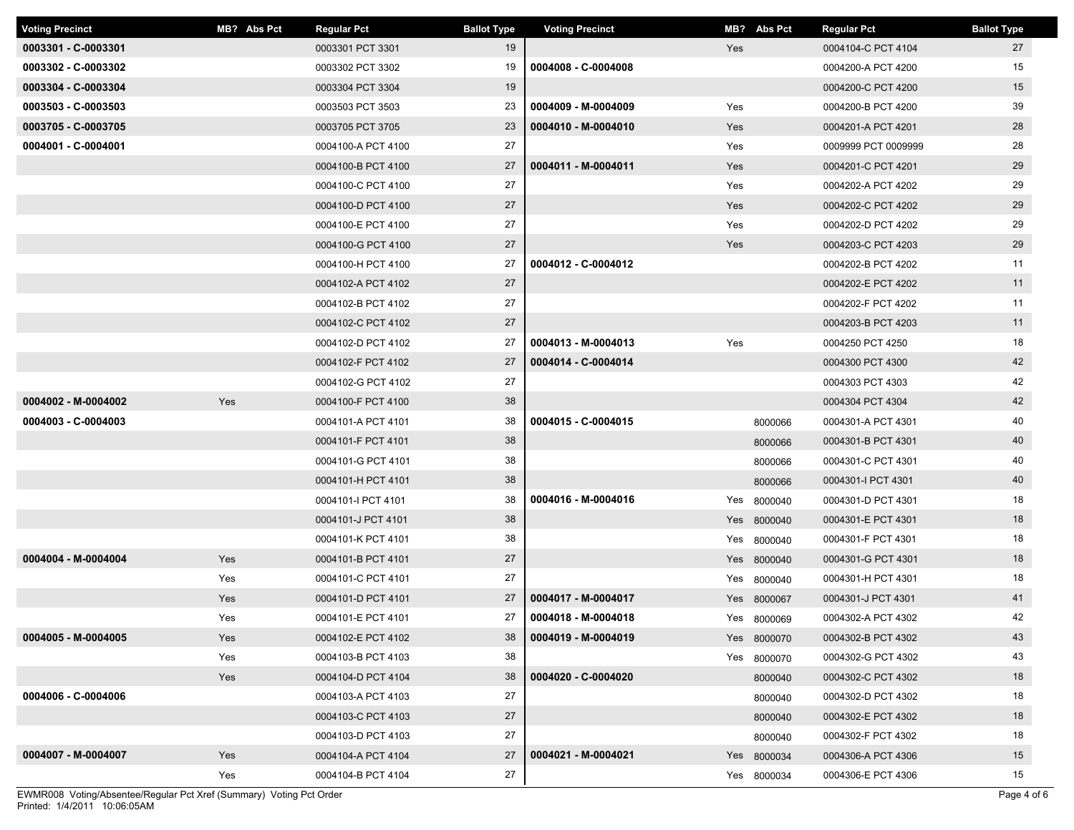| <b>Voting Precinct</b> | MB? Abs Pct | <b>Regular Pct</b> | <b>Ballot Type</b> | <b>Voting Precinct</b> | MB? Abs Pct | <b>Regular Pct</b>  | <b>Ballot Type</b> |
|------------------------|-------------|--------------------|--------------------|------------------------|-------------|---------------------|--------------------|
| 0003301 - C-0003301    |             | 0003301 PCT 3301   | 19                 |                        | Yes         | 0004104-C PCT 4104  | 27                 |
| 0003302 - C-0003302    |             | 0003302 PCT 3302   | 19                 | 0004008 - C-0004008    |             | 0004200-A PCT 4200  | 15                 |
| 0003304 - C-0003304    |             | 0003304 PCT 3304   | 19                 |                        |             | 0004200-C PCT 4200  | 15                 |
| 0003503 - C-0003503    |             | 0003503 PCT 3503   | 23                 | 0004009 - M-0004009    | Yes         | 0004200-B PCT 4200  | 39                 |
| 0003705 - C-0003705    |             | 0003705 PCT 3705   | 23                 | 0004010 - M-0004010    | Yes         | 0004201-A PCT 4201  | 28                 |
| 0004001 - C-0004001    |             | 0004100-A PCT 4100 | 27                 |                        | Yes         | 0009999 PCT 0009999 | 28                 |
|                        |             | 0004100-B PCT 4100 | 27                 | 0004011 - M-0004011    | Yes         | 0004201-C PCT 4201  | 29                 |
|                        |             | 0004100-C PCT 4100 | 27                 |                        | Yes         | 0004202-A PCT 4202  | 29                 |
|                        |             | 0004100-D PCT 4100 | 27                 |                        | Yes         | 0004202-C PCT 4202  | 29                 |
|                        |             | 0004100-E PCT 4100 | 27                 |                        | Yes         | 0004202-D PCT 4202  | 29                 |
|                        |             | 0004100-G PCT 4100 | 27                 |                        | Yes         | 0004203-C PCT 4203  | 29                 |
|                        |             | 0004100-H PCT 4100 | 27                 | 0004012 - C-0004012    |             | 0004202-B PCT 4202  | 11                 |
|                        |             | 0004102-A PCT 4102 | 27                 |                        |             | 0004202-E PCT 4202  | 11                 |
|                        |             | 0004102-B PCT 4102 | 27                 |                        |             | 0004202-F PCT 4202  | 11                 |
|                        |             | 0004102-C PCT 4102 | 27                 |                        |             | 0004203-B PCT 4203  | 11                 |
|                        |             | 0004102-D PCT 4102 | 27                 | 0004013 - M-0004013    | Yes         | 0004250 PCT 4250    | 18                 |
|                        |             | 0004102-F PCT 4102 | 27                 | 0004014 - C-0004014    |             | 0004300 PCT 4300    | 42                 |
|                        |             | 0004102-G PCT 4102 | 27                 |                        |             | 0004303 PCT 4303    | 42                 |
| 0004002 - M-0004002    | Yes         | 0004100-F PCT 4100 | 38                 |                        |             | 0004304 PCT 4304    | 42                 |
| 0004003 - C-0004003    |             | 0004101-A PCT 4101 | 38                 | 0004015 - C-0004015    | 8000066     | 0004301-A PCT 4301  | 40                 |
|                        |             | 0004101-F PCT 4101 | 38                 |                        | 8000066     | 0004301-B PCT 4301  | 40                 |
|                        |             | 0004101-G PCT 4101 | 38                 |                        | 8000066     | 0004301-C PCT 4301  | 40                 |
|                        |             | 0004101-H PCT 4101 | 38                 |                        | 8000066     | 0004301-I PCT 4301  | 40                 |
|                        |             | 0004101-I PCT 4101 | 38                 | 0004016 - M-0004016    | Yes 8000040 | 0004301-D PCT 4301  | 18                 |
|                        |             | 0004101-J PCT 4101 | 38                 |                        | Yes 8000040 | 0004301-E PCT 4301  | 18                 |
|                        |             | 0004101-K PCT 4101 | 38                 |                        | Yes 8000040 | 0004301-F PCT 4301  | 18                 |
| 0004004 - M-0004004    | Yes         | 0004101-B PCT 4101 | 27                 |                        | Yes 8000040 | 0004301-G PCT 4301  | 18                 |
|                        | Yes         | 0004101-C PCT 4101 | 27                 |                        | Yes 8000040 | 0004301-H PCT 4301  | 18                 |
|                        | Yes         | 0004101-D PCT 4101 | 27                 | 0004017 - M-0004017    | Yes 8000067 | 0004301-J PCT 4301  | 41                 |
|                        | Yes         | 0004101-E PCT 4101 | 27                 | 0004018 - M-0004018    | Yes 8000069 | 0004302-A PCT 4302  | 42                 |
| 0004005 - M-0004005    | Yes         | 0004102-E PCT 4102 | 38                 | 0004019 - M-0004019    | Yes 8000070 | 0004302-B PCT 4302  | 43                 |
|                        | Yes         | 0004103-B PCT 4103 | 38                 |                        | Yes 8000070 | 0004302-G PCT 4302  | 43                 |
|                        | Yes         | 0004104-D PCT 4104 | 38                 | 0004020 - C-0004020    | 8000040     | 0004302-C PCT 4302  | 18                 |
| 0004006 - C-0004006    |             | 0004103-A PCT 4103 | 27                 |                        | 8000040     | 0004302-D PCT 4302  | 18                 |
|                        |             | 0004103-C PCT 4103 | 27                 |                        | 8000040     | 0004302-E PCT 4302  | 18                 |
|                        |             | 0004103-D PCT 4103 | 27                 |                        | 8000040     | 0004302-F PCT 4302  | 18                 |
| 0004007 - M-0004007    | Yes         | 0004104-A PCT 4104 | 27                 | 0004021 - M-0004021    | Yes 8000034 | 0004306-A PCT 4306  | 15                 |
|                        | Yes         | 0004104-B PCT 4104 | 27                 |                        | Yes 8000034 | 0004306-E PCT 4306  | 15                 |

Printed: 1/4/2011 10:06:05AM EWMR008 Voting/Absentee/Regular Pct Xref (Summary) Voting Pct Order Page 4 of 6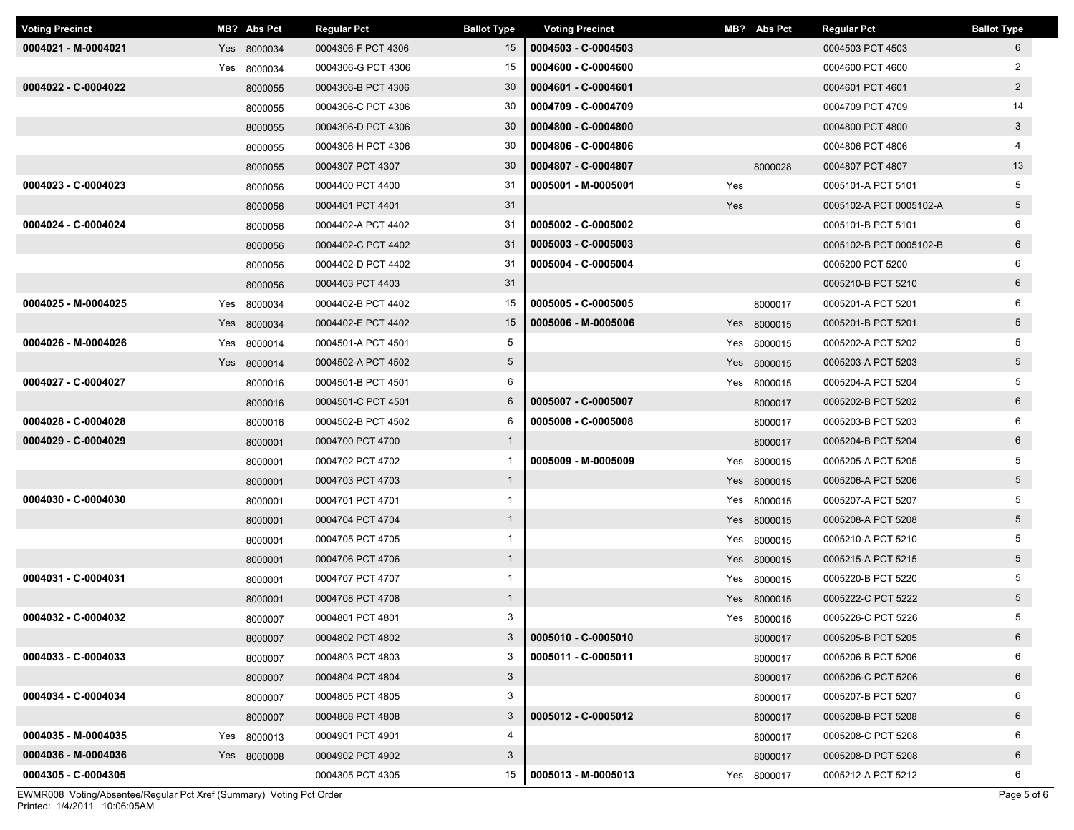| <b>Voting Precinct</b> | MB? Abs Pct | <b>Regular Pct</b> | <b>Ballot Type</b> | <b>Voting Precinct</b> |     | MB? Abs Pct | <b>Regular Pct</b>      | <b>Ballot Type</b> |
|------------------------|-------------|--------------------|--------------------|------------------------|-----|-------------|-------------------------|--------------------|
| 0004021 - M-0004021    | Yes 8000034 | 0004306-F PCT 4306 | 15                 | 0004503 - C-0004503    |     |             | 0004503 PCT 4503        | 6                  |
|                        | Yes 8000034 | 0004306-G PCT 4306 | 15                 | 0004600 - C-0004600    |     |             | 0004600 PCT 4600        | 2                  |
| 0004022 - C-0004022    | 8000055     | 0004306-B PCT 4306 | 30                 | 0004601 - C-0004601    |     |             | 0004601 PCT 4601        | $\overline{2}$     |
|                        | 8000055     | 0004306-C PCT 4306 | 30                 | 0004709 - C-0004709    |     |             | 0004709 PCT 4709        | 14                 |
|                        | 8000055     | 0004306-D PCT 4306 | 30                 | 0004800 - C-0004800    |     |             | 0004800 PCT 4800        | 3                  |
|                        | 8000055     | 0004306-H PCT 4306 | 30                 | 0004806 - C-0004806    |     |             | 0004806 PCT 4806        | 4                  |
|                        | 8000055     | 0004307 PCT 4307   | 30                 | 0004807 - C-0004807    |     | 8000028     | 0004807 PCT 4807        | 13                 |
| 0004023 - C-0004023    | 8000056     | 0004400 PCT 4400   | 31                 | 0005001 - M-0005001    | Yes |             | 0005101-A PCT 5101      | 5                  |
|                        | 8000056     | 0004401 PCT 4401   | 31                 |                        | Yes |             | 0005102-A PCT 0005102-A | $5\phantom{.0}$    |
| 0004024 - C-0004024    | 8000056     | 0004402-A PCT 4402 | 31                 | 0005002 - C-0005002    |     |             | 0005101-B PCT 5101      | 6                  |
|                        | 8000056     | 0004402-C PCT 4402 | 31                 | 0005003 - C-0005003    |     |             | 0005102-B PCT 0005102-B | 6                  |
|                        | 8000056     | 0004402-D PCT 4402 | 31                 | 0005004 - C-0005004    |     |             | 0005200 PCT 5200        | 6                  |
|                        | 8000056     | 0004403 PCT 4403   | 31                 |                        |     |             | 0005210-B PCT 5210      | 6                  |
| 0004025 - M-0004025    | Yes 8000034 | 0004402-B PCT 4402 | 15                 | 0005005 - C-0005005    |     | 8000017     | 0005201-A PCT 5201      | 6                  |
|                        | Yes 8000034 | 0004402-E PCT 4402 | 15                 | 0005006 - M-0005006    |     | Yes 8000015 | 0005201-B PCT 5201      | $5\phantom{.0}$    |
| 0004026 - M-0004026    | Yes 8000014 | 0004501-A PCT 4501 | 5                  |                        |     | Yes 8000015 | 0005202-A PCT 5202      | 5                  |
|                        | Yes 8000014 | 0004502-A PCT 4502 | $5\phantom{.0}$    |                        |     | Yes 8000015 | 0005203-A PCT 5203      | $5\phantom{.0}$    |
| 0004027 - C-0004027    | 8000016     | 0004501-B PCT 4501 | 6                  |                        |     | Yes 8000015 | 0005204-A PCT 5204      | 5                  |
|                        | 8000016     | 0004501-C PCT 4501 | $6\phantom{.}6$    | 0005007 - C-0005007    |     | 8000017     | 0005202-B PCT 5202      | 6                  |
| 0004028 - C-0004028    | 8000016     | 0004502-B PCT 4502 | 6                  | 0005008 - C-0005008    |     | 8000017     | 0005203-B PCT 5203      | 6                  |
| 0004029 - C-0004029    | 8000001     | 0004700 PCT 4700   | $\overline{1}$     |                        |     | 8000017     | 0005204-B PCT 5204      | 6                  |
|                        | 8000001     | 0004702 PCT 4702   | $\mathbf{1}$       | 0005009 - M-0005009    |     | Yes 8000015 | 0005205-A PCT 5205      | 5                  |
|                        | 8000001     | 0004703 PCT 4703   | $\mathbf{1}$       |                        |     | Yes 8000015 | 0005206-A PCT 5206      | $5\phantom{.0}$    |
| 0004030 - C-0004030    | 8000001     | 0004701 PCT 4701   | $\mathbf{1}$       |                        |     | Yes 8000015 | 0005207-A PCT 5207      | 5                  |
|                        | 8000001     | 0004704 PCT 4704   | $\mathbf{1}$       |                        |     | Yes 8000015 | 0005208-A PCT 5208      | 5                  |
|                        | 8000001     | 0004705 PCT 4705   | $\mathbf{1}$       |                        |     | Yes 8000015 | 0005210-A PCT 5210      | 5                  |
|                        | 8000001     | 0004706 PCT 4706   | $\overline{1}$     |                        |     | Yes 8000015 | 0005215-A PCT 5215      | $5\phantom{.0}$    |
| 0004031 - C-0004031    | 8000001     | 0004707 PCT 4707   | $\mathbf{1}$       |                        |     | Yes 8000015 | 0005220-B PCT 5220      | 5                  |
|                        | 8000001     | 0004708 PCT 4708   | $\mathbf{1}$       |                        |     | Yes 8000015 | 0005222-C PCT 5222      | $5\phantom{.0}$    |
| 0004032 - C-0004032    | 8000007     | 0004801 PCT 4801   | 3                  |                        |     | Yes 8000015 | 0005226-C PCT 5226      | 5                  |
|                        | 8000007     | 0004802 PCT 4802   | 3                  | 0005010 - C-0005010    |     | 8000017     | 0005205-B PCT 5205      | 6                  |
| 0004033 - C-0004033    | 8000007     | 0004803 PCT 4803   | 3                  | 0005011 - C-0005011    |     | 8000017     | 0005206-B PCT 5206      | 6                  |
|                        | 8000007     | 0004804 PCT 4804   | 3                  |                        |     | 8000017     | 0005206-C PCT 5206      | 6                  |
| 0004034 - C-0004034    | 8000007     | 0004805 PCT 4805   | 3                  |                        |     | 8000017     | 0005207-B PCT 5207      | 6                  |
|                        | 8000007     | 0004808 PCT 4808   | 3                  | 0005012 - C-0005012    |     | 8000017     | 0005208-B PCT 5208      | 6                  |
| 0004035 - M-0004035    | Yes 8000013 | 0004901 PCT 4901   | 4                  |                        |     | 8000017     | 0005208-C PCT 5208      | 6                  |
| 0004036 - M-0004036    | Yes 8000008 | 0004902 PCT 4902   | 3                  |                        |     | 8000017     | 0005208-D PCT 5208      | 6                  |
| 0004305 - C-0004305    |             | 0004305 PCT 4305   | 15                 | 0005013 - M-0005013    |     | Yes 8000017 | 0005212-A PCT 5212      | 6                  |